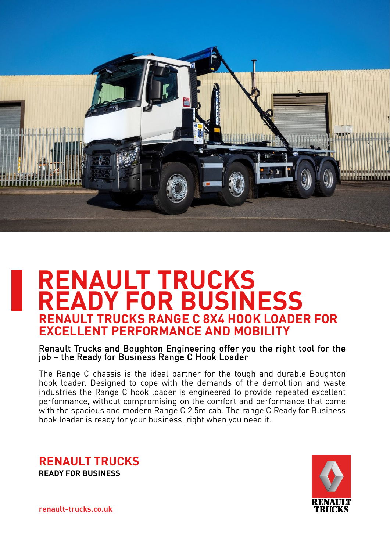

# **RENAULT TRUCKS READY FOR BUSINESS RENAULT TRUCKS RANGE C 8X4 HOOK LOADER FOR EXCELLENT PERFORMANCE AND MOBILITY**

Renault Trucks and Boughton Engineering offer you the right tool for the job – the Ready for Business Range C Hook Loader

The Range C chassis is the ideal partner for the tough and durable Boughton hook loader. Designed to cope with the demands of the demolition and waste industries the Range C hook loader is engineered to provide repeated excellent performance, without compromising on the comfort and performance that come with the spacious and modern Range C 2.5m cab. The range C Ready for Business hook loader is ready for your business, right when you need it.

**RENAULT TRUCKS READY FOR BUSINESS**



**renault-trucks.co.uk renault-trucks.co.uk**